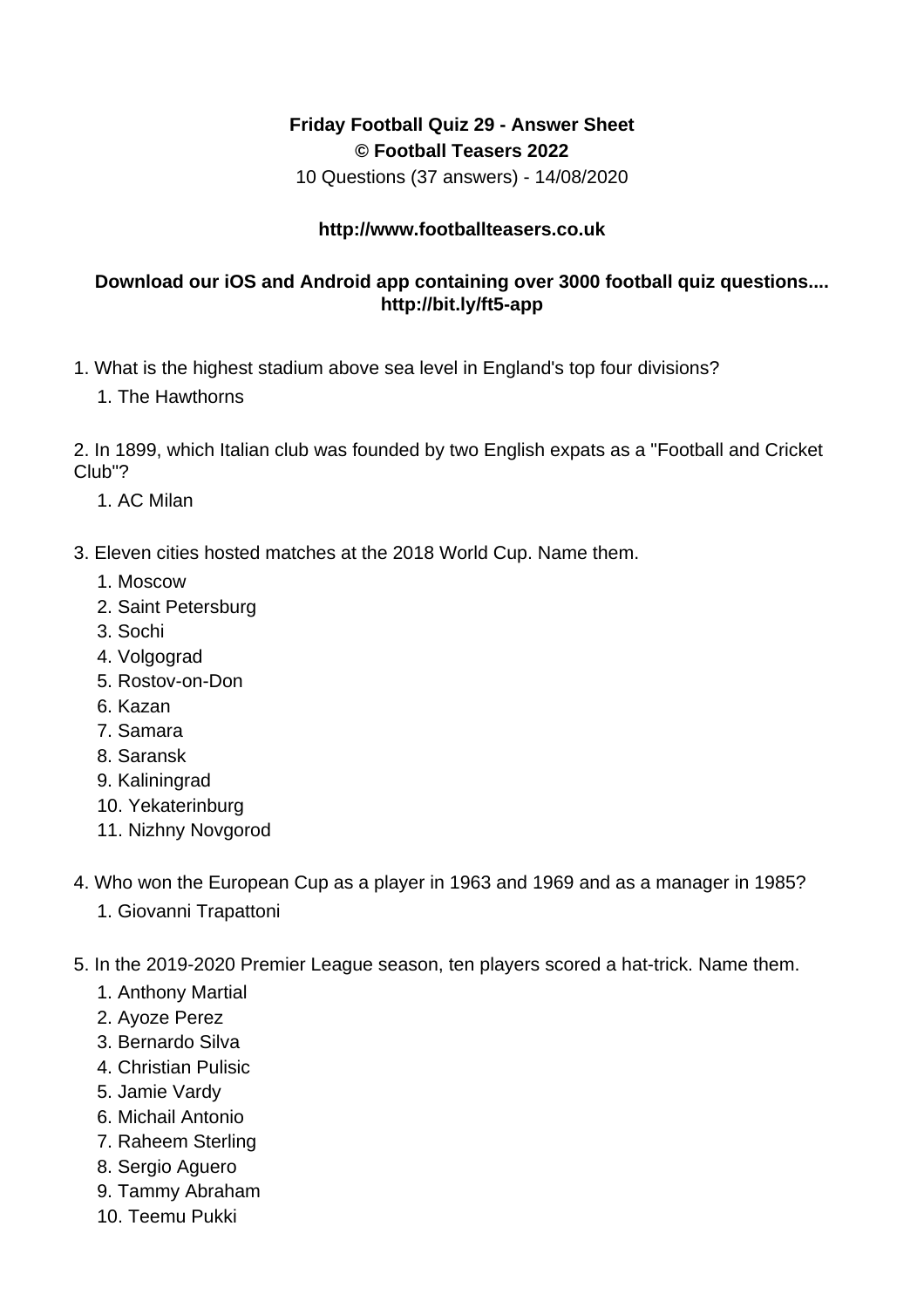## **Friday Football Quiz 29 - Answer Sheet © Football Teasers 2022**

10 Questions (37 answers) - 14/08/2020

## **http://www.footballteasers.co.uk**

## **Download our iOS and Android app containing over 3000 football quiz questions.... http://bit.ly/ft5-app**

- 1. What is the highest stadium above sea level in England's top four divisions?
	- 1. The Hawthorns

2. In 1899, which Italian club was founded by two English expats as a "Football and Cricket Club"?

- 1. AC Milan
- 3. Eleven cities hosted matches at the 2018 World Cup. Name them.
	- 1. Moscow
	- 2. Saint Petersburg
	- 3. Sochi
	- 4. Volgograd
	- 5. Rostov-on-Don
	- 6. Kazan
	- 7. Samara
	- 8. Saransk
	- 9. Kaliningrad
	- 10. Yekaterinburg
	- 11. Nizhny Novgorod
- 4. Who won the European Cup as a player in 1963 and 1969 and as a manager in 1985?
	- 1. Giovanni Trapattoni
- 5. In the 2019-2020 Premier League season, ten players scored a hat-trick. Name them.
	- 1. Anthony Martial
	- 2. Ayoze Perez
	- 3. Bernardo Silva
	- 4. Christian Pulisic
	- 5. Jamie Vardy
	- 6. Michail Antonio
	- 7. Raheem Sterling
	- 8. Sergio Aguero
	- 9. Tammy Abraham
	- 10. Teemu Pukki